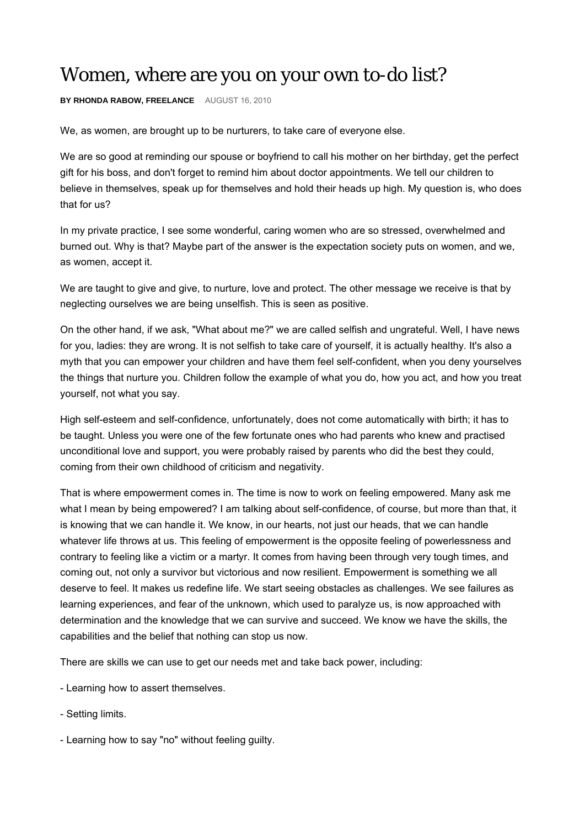## Women, where are you on your own to-do list?

**BY RHONDA RABOW, FREELANCE** AUGUST 16, 2010

We, as women, are brought up to be nurturers, to take care of everyone else.

We are so good at reminding our spouse or boyfriend to call his mother on her birthday, get the perfect gift for his boss, and don't forget to remind him about doctor appointments. We tell our children to believe in themselves, speak up for themselves and hold their heads up high. My question is, who does that for us?

In my private practice, I see some wonderful, caring women who are so stressed, overwhelmed and burned out. Why is that? Maybe part of the answer is the expectation society puts on women, and we, as women, accept it.

We are taught to give and give, to nurture, love and protect. The other message we receive is that by neglecting ourselves we are being unselfish. This is seen as positive.

On the other hand, if we ask, "What about me?" we are called selfish and ungrateful. Well, I have news for you, ladies: they are wrong. It is not selfish to take care of yourself, it is actually healthy. It's also a myth that you can empower your children and have them feel self-confident, when you deny yourselves the things that nurture you. Children follow the example of what you do, how you act, and how you treat yourself, not what you say.

High self-esteem and self-confidence, unfortunately, does not come automatically with birth; it has to be taught. Unless you were one of the few fortunate ones who had parents who knew and practised unconditional love and support, you were probably raised by parents who did the best they could, coming from their own childhood of criticism and negativity.

That is where empowerment comes in. The time is now to work on feeling empowered. Many ask me what I mean by being empowered? I am talking about self-confidence, of course, but more than that, it is knowing that we can handle it. We know, in our hearts, not just our heads, that we can handle whatever life throws at us. This feeling of empowerment is the opposite feeling of powerlessness and contrary to feeling like a victim or a martyr. It comes from having been through very tough times, and coming out, not only a survivor but victorious and now resilient. Empowerment is something we all deserve to feel. It makes us redefine life. We start seeing obstacles as challenges. We see failures as learning experiences, and fear of the unknown, which used to paralyze us, is now approached with determination and the knowledge that we can survive and succeed. We know we have the skills, the capabilities and the belief that nothing can stop us now.

There are skills we can use to get our needs met and take back power, including:

- Learning how to assert themselves.
- Setting limits.
- Learning how to say "no" without feeling guilty.